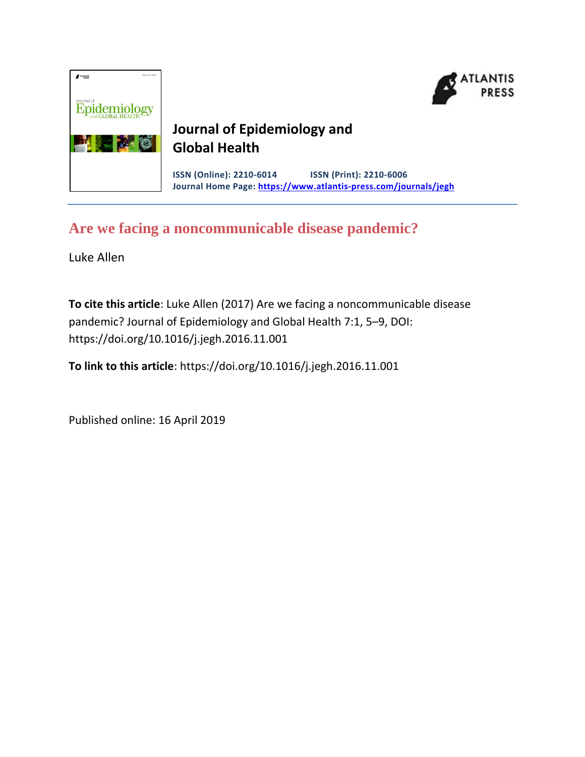



## **Journal of Epidemiology and Global Health**

**ISSN (Online): 2210-6014 ISSN (Print): 2210-6006 Journal Home Page: https://www.atlantis-press.com/journals/jegh**

# **Are we facing a noncommunicable disease pandemic?**

Luke Allen

**To cite this article**: Luke Allen (2017) Are we facing a noncommunicable disease pandemic? Journal of Epidemiology and Global Health 7:1, 5–9, DOI: https://doi.org/10.1016/j.jegh.2016.11.001

**To link to this article**: https://doi.org/10.1016/j.jegh.2016.11.001

Published online: 16 April 2019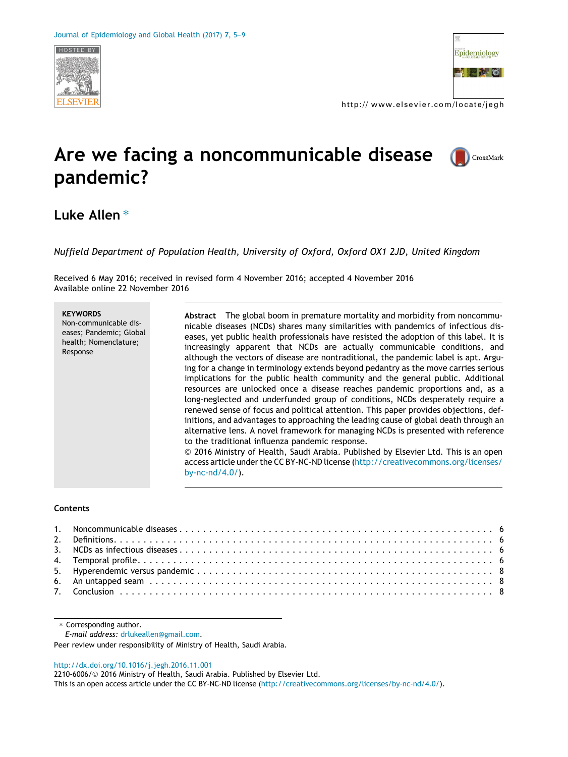



http:// www.elsevier.com/locate/jegh

# Are we facing a noncommunicable disease pandemic?



## Luke Allen $*$

Nuffield Department of Population Health, University of Oxford, Oxford OX1 2JD, United Kingdom

Received 6 May 2016; received in revised form 4 November 2016; accepted 4 November 2016 Available online 22 November 2016

| <b>KEYWORDS</b><br>Non-communicable dis-<br>eases; Pandemic; Global<br>health; Nomenclature;<br>Response | Abstract The global boom in premature mortality and morbidity from noncommu-<br>nicable diseases (NCDs) shares many similarities with pandemics of infectious dis-<br>eases, yet public health professionals have resisted the adoption of this label. It is<br>increasingly apparent that NCDs are actually communicable conditions, and<br>although the vectors of disease are nontraditional, the pandemic label is apt. Argu-<br>ing for a change in terminology extends beyond pedantry as the move carries serious<br>implications for the public health community and the general public. Additional<br>resources are unlocked once a disease reaches pandemic proportions and, as a<br>long-neglected and underfunded group of conditions, NCDs desperately require a<br>renewed sense of focus and political attention. This paper provides objections, def-<br>initions, and advantages to approaching the leading cause of global death through an<br>alternative lens. A novel framework for managing NCDs is presented with reference<br>to the traditional influenza pandemic response.<br>© 2016 Ministry of Health, Saudi Arabia. Published by Elsevier Ltd. This is an open<br>access article under the CC BY-NC-ND license (http://creativecommons.org/licenses/<br>by-nc- $nd/4.0/$ ). |
|----------------------------------------------------------------------------------------------------------|-----------------------------------------------------------------------------------------------------------------------------------------------------------------------------------------------------------------------------------------------------------------------------------------------------------------------------------------------------------------------------------------------------------------------------------------------------------------------------------------------------------------------------------------------------------------------------------------------------------------------------------------------------------------------------------------------------------------------------------------------------------------------------------------------------------------------------------------------------------------------------------------------------------------------------------------------------------------------------------------------------------------------------------------------------------------------------------------------------------------------------------------------------------------------------------------------------------------------------------------------------------------------------------------------------------|
|----------------------------------------------------------------------------------------------------------|-----------------------------------------------------------------------------------------------------------------------------------------------------------------------------------------------------------------------------------------------------------------------------------------------------------------------------------------------------------------------------------------------------------------------------------------------------------------------------------------------------------------------------------------------------------------------------------------------------------------------------------------------------------------------------------------------------------------------------------------------------------------------------------------------------------------------------------------------------------------------------------------------------------------------------------------------------------------------------------------------------------------------------------------------------------------------------------------------------------------------------------------------------------------------------------------------------------------------------------------------------------------------------------------------------------|

#### Contents

\* Corresponding author.

E-mail address: [drlukeallen@gmail.com](mailto:drlukeallen@gmail.com).

Peer review under responsibility of Ministry of Health, Saudi Arabia.

#### <http://dx.doi.org/10.1016/j.jegh.2016.11.001>

2210-6006/ 2016 Ministry of Health, Saudi Arabia. Published by Elsevier Ltd.

This is an open access article under the CC BY-NC-ND license [\(http://creativecommons.org/licenses/by-nc-nd/4.0/](http://creativecommons.org/licenses/by-nc-nd/4.0/)).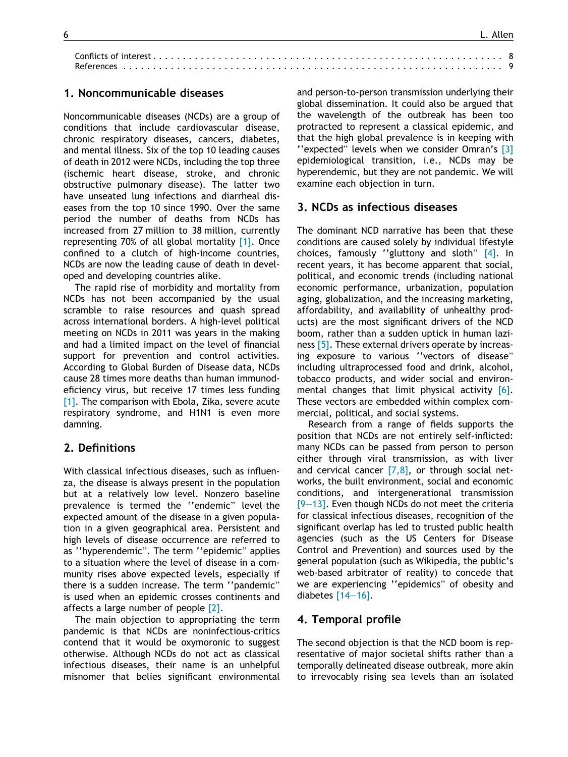| References |  |
|------------|--|

#### 1. Noncommunicable diseases

Noncommunicable diseases (NCDs) are a group of conditions that include cardiovascular disease, chronic respiratory diseases, cancers, diabetes, and mental illness. Six of the top 10 leading causes of death in 2012 were NCDs, including the top three (ischemic heart disease, stroke, and chronic obstructive pulmonary disease). The latter two have unseated lung infections and diarrheal diseases from the top 10 since 1990. Over the same period the number of deaths from NCDs has increased from 27 million to 38 million, currently representing 70% of all global mortality [\[1\].](#page-5-0) Once confined to a clutch of high-income countries, NCDs are now the leading cause of death in developed and developing countries alike.

The rapid rise of morbidity and mortality from NCDs has not been accompanied by the usual scramble to raise resources and quash spread across international borders. A high-level political meeting on NCDs in 2011 was years in the making and had a limited impact on the level of financial support for prevention and control activities. According to Global Burden of Disease data, NCDs cause 28 times more deaths than human immunodeficiency virus, but receive 17 times less funding  $[1]$ . The comparison with Ebola, Zika, severe acute respiratory syndrome, and H1N1 is even more damning.

#### 2. Definitions

With classical infectious diseases, such as influenza, the disease is always present in the population but at a relatively low level. Nonzero baseline prevalence is termed the "endemic" level-the expected amount of the disease in a given population in a given geographical area. Persistent and high levels of disease occurrence are referred to as ''hyperendemic". The term ''epidemic" applies to a situation where the level of disease in a community rises above expected levels, especially if there is a sudden increase. The term ''pandemic" is used when an epidemic crosses continents and affects a large number of people [\[2\].](#page-5-0)

The main objection to appropriating the term pandemic is that NCDs are noninfectious-critics contend that it would be oxymoronic to suggest otherwise. Although NCDs do not act as classical infectious diseases, their name is an unhelpful misnomer that belies significant environmental and person-to-person transmission underlying their global dissemination. It could also be argued that the wavelength of the outbreak has been too protracted to represent a classical epidemic, and that the high global prevalence is in keeping with ''expected" levels when we consider Omran's [\[3\]](#page-5-0) epidemiological transition, i.e., NCDs may be hyperendemic, but they are not pandemic. We will examine each objection in turn.

#### 3. NCDs as infectious diseases

The dominant NCD narrative has been that these conditions are caused solely by individual lifestyle choices, famously ''gluttony and sloth" [\[4\]](#page-5-0). In recent years, it has become apparent that social, political, and economic trends (including national economic performance, urbanization, population aging, globalization, and the increasing marketing, affordability, and availability of unhealthy products) are the most significant drivers of the NCD boom, rather than a sudden uptick in human laziness [\[5\].](#page-5-0) These external drivers operate by increasing exposure to various ''vectors of disease" including ultraprocessed food and drink, alcohol, tobacco products, and wider social and environmental changes that limit physical activity [\[6\].](#page-5-0) These vectors are embedded within complex commercial, political, and social systems.

Research from a range of fields supports the position that NCDs are not entirely self-inflicted: many NCDs can be passed from person to person either through viral transmission, as with liver and cervical cancer  $[7,8]$ , or through social networks, the built environment, social and economic conditions, and intergenerational transmission [\[9–13\].](#page-5-0) Even though NCDs do not meet the criteria for classical infectious diseases, recognition of the significant overlap has led to trusted public health agencies (such as the US Centers for Disease Control and Prevention) and sources used by the general population (such as Wikipedia, the public's web-based arbitrator of reality) to concede that we are experiencing ''epidemics" of obesity and diabetes [\[14–16\]](#page-5-0).

#### 4. Temporal profile

The second objection is that the NCD boom is representative of major societal shifts rather than a temporally delineated disease outbreak, more akin to irrevocably rising sea levels than an isolated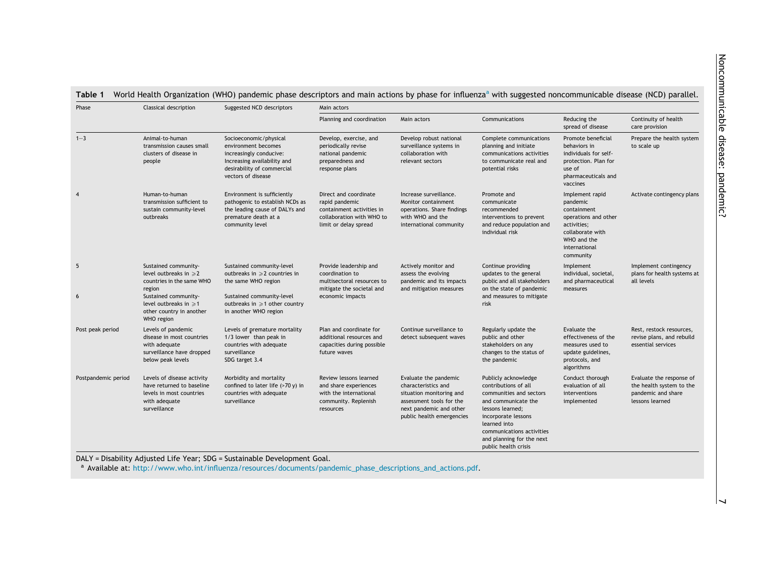#### <span id="page-3-0"></span>Table 1 World Health Organization (WHO) pandemic phase descriptors and main actions by phase for influenza<sup>a</sup> with suggested noncommunicable disease (NCD) parallel.

| Phase               | Classical description                                                                                                | Suggested NCD descriptors                                                                                                                                   | Main actors                                                                                                                |                                                                                                                                                              |                                                                                                                                                                                                                                             |                                                                                                                                                    |                                                                                               |  |
|---------------------|----------------------------------------------------------------------------------------------------------------------|-------------------------------------------------------------------------------------------------------------------------------------------------------------|----------------------------------------------------------------------------------------------------------------------------|--------------------------------------------------------------------------------------------------------------------------------------------------------------|---------------------------------------------------------------------------------------------------------------------------------------------------------------------------------------------------------------------------------------------|----------------------------------------------------------------------------------------------------------------------------------------------------|-----------------------------------------------------------------------------------------------|--|
|                     |                                                                                                                      |                                                                                                                                                             | Planning and coordination                                                                                                  | Main actors                                                                                                                                                  | Communications                                                                                                                                                                                                                              | Reducing the<br>spread of disease                                                                                                                  | Continuity of health<br>care provision                                                        |  |
| $1 - 3$             | Animal-to-human<br>transmission causes small<br>clusters of disease in<br>people                                     | Socioeconomic/physical<br>environment becomes<br>increasingly conducive:<br>Increasing availability and<br>desirability of commercial<br>vectors of disease | Develop, exercise, and<br>periodically revise<br>national pandemic<br>preparedness and<br>response plans                   | Develop robust national<br>surveillance systems in<br>collaboration with<br>relevant sectors                                                                 | Complete communications<br>planning and initiate<br>communications activities<br>to communicate real and<br>potential risks                                                                                                                 | Promote beneficial<br>behaviors in<br>individuals for self-<br>protection. Plan for<br>use of<br>pharmaceuticals and<br>vaccines                   | Prepare the health system<br>to scale up                                                      |  |
| 4                   | Human-to-human<br>transmission sufficient to<br>sustain community-level<br>outbreaks                                 | Environment is sufficiently<br>pathogenic to establish NCDs as<br>the leading cause of DALYs and<br>premature death at a<br>community level                 | Direct and coordinate<br>rapid pandemic<br>containment activities in<br>collaboration with WHO to<br>limit or delay spread | Increase surveillance.<br>Monitor containment<br>operations. Share findings<br>with WHO and the<br>international community                                   | Promote and<br>communicate<br>recommended<br>interventions to prevent<br>and reduce population and<br>individual risk                                                                                                                       | Implement rapid<br>pandemic<br>containment<br>operations and other<br>activities;<br>collaborate with<br>WHO and the<br>international<br>community | Activate contingency plans                                                                    |  |
| 5                   | Sustained community-<br>level outbreaks in $\geq 2$<br>countries in the same WHO<br>region                           | Sustained community-level<br>outbreaks in $\geqslant$ 2 countries in<br>the same WHO region                                                                 | Provide leadership and<br>coordination to<br>multisectoral resources to<br>mitigate the societal and                       | Actively monitor and<br>assess the evolving<br>pandemic and its impacts<br>and mitigation measures                                                           | Continue providing<br>updates to the general<br>public and all stakeholders<br>on the state of pandemic                                                                                                                                     | Implement<br>individual, societal,<br>and pharmaceutical<br>measures                                                                               | Implement contingency<br>plans for health systems at<br>all levels                            |  |
| 6                   | Sustained community-<br>level outbreaks in $\geq 1$<br>other country in another<br>WHO region                        | Sustained community-level<br>outbreaks in $\geqslant$ 1 other country<br>in another WHO region                                                              | economic impacts<br>risk                                                                                                   |                                                                                                                                                              | and measures to mitigate                                                                                                                                                                                                                    |                                                                                                                                                    |                                                                                               |  |
| Post peak period    | Levels of pandemic<br>disease in most countries<br>with adequate<br>surveillance have dropped<br>below peak levels   | Levels of premature mortality<br>1/3 lower than peak in<br>countries with adequate<br>surveillance<br>SDG target 3.4                                        | Plan and coordinate for<br>additional resources and<br>capacities during possible<br>future waves                          | Continue surveillance to<br>detect subsequent waves                                                                                                          | Regularly update the<br>public and other<br>stakeholders on any<br>changes to the status of<br>the pandemic                                                                                                                                 | Evaluate the<br>effectiveness of the<br>measures used to<br>update guidelines,<br>protocols, and<br>algorithms                                     | Rest, restock resources,<br>revise plans, and rebuild<br>essential services                   |  |
| Postpandemic period | Levels of disease activity<br>have returned to baseline<br>levels in most countries<br>with adequate<br>surveillance | Morbidity and mortality<br>confined to later life (>70 y) in<br>countries with adequate<br>surveillance                                                     | Review lessons learned<br>and share experiences<br>with the international<br>community. Replenish<br>resources             | Evaluate the pandemic<br>characteristics and<br>situation monitoring and<br>assessment tools for the<br>next pandemic and other<br>public health emergencies | Publicly acknowledge<br>contributions of all<br>communities and sectors<br>and communicate the<br>lessons learned;<br>incorporate lessons<br>learned into<br>communications activities<br>and planning for the next<br>public health crisis | Conduct thorough<br>evaluation of all<br>interventions<br>implemented                                                                              | Evaluate the response of<br>the health system to the<br>pandemic and share<br>lessons learned |  |

DALY <sup>=</sup> Disability Adjusted Life Year; SDG <sup>=</sup> Sustainable Development Goal.

<sup>a</sup> Available at: [http://www.who.int/influenza/resources/documents/pandemic\\_phase\\_descriptions\\_and\\_actions.pdf](http://www.who.int/influenza/resources/documents/pandemic_phase_descriptions_and_actions.pdf).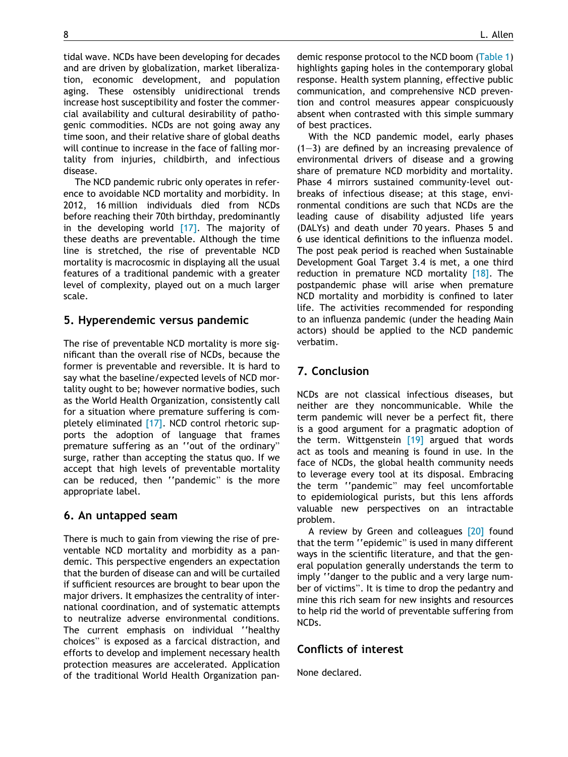tidal wave. NCDs have been developing for decades and are driven by globalization, market liberalization, economic development, and population aging. These ostensibly unidirectional trends increase host susceptibility and foster the commercial availability and cultural desirability of pathogenic commodities. NCDs are not going away any time soon, and their relative share of global deaths will continue to increase in the face of falling mortality from injuries, childbirth, and infectious disease.

The NCD pandemic rubric only operates in reference to avoidable NCD mortality and morbidity. In 2012, 16 million individuals died from NCDs before reaching their 70th birthday, predominantly in the developing world  $[17]$ . The majority of these deaths are preventable. Although the time line is stretched, the rise of preventable NCD mortality is macrocosmic in displaying all the usual features of a traditional pandemic with a greater level of complexity, played out on a much larger scale.

#### 5. Hyperendemic versus pandemic

The rise of preventable NCD mortality is more significant than the overall rise of NCDs, because the former is preventable and reversible. It is hard to say what the baseline/expected levels of NCD mortality ought to be; however normative bodies, such as the World Health Organization, consistently call for a situation where premature suffering is completely eliminated [\[17\]](#page-5-0). NCD control rhetoric supports the adoption of language that frames premature suffering as an ''out of the ordinary" surge, rather than accepting the status quo. If we accept that high levels of preventable mortality can be reduced, then ''pandemic" is the more appropriate label.

#### 6. An untapped seam

There is much to gain from viewing the rise of preventable NCD mortality and morbidity as a pandemic. This perspective engenders an expectation that the burden of disease can and will be curtailed if sufficient resources are brought to bear upon the major drivers. It emphasizes the centrality of international coordination, and of systematic attempts to neutralize adverse environmental conditions. The current emphasis on individual ''healthy choices" is exposed as a farcical distraction, and efforts to develop and implement necessary health protection measures are accelerated. Application of the traditional World Health Organization pandemic response protocol to the NCD boom ([Table 1\)](#page-3-0) highlights gaping holes in the contemporary global response. Health system planning, effective public communication, and comprehensive NCD prevention and control measures appear conspicuously absent when contrasted with this simple summary of best practices.

With the NCD pandemic model, early phases  $(1-3)$  are defined by an increasing prevalence of environmental drivers of disease and a growing share of premature NCD morbidity and mortality. Phase 4 mirrors sustained community-level outbreaks of infectious disease; at this stage, environmental conditions are such that NCDs are the leading cause of disability adjusted life years (DALYs) and death under 70 years. Phases 5 and 6 use identical definitions to the influenza model. The post peak period is reached when Sustainable Development Goal Target 3.4 is met, a one third reduction in premature NCD mortality [\[18\]](#page-5-0). The postpandemic phase will arise when premature NCD mortality and morbidity is confined to later life. The activities recommended for responding to an influenza pandemic (under the heading Main actors) should be applied to the NCD pandemic verbatim.

## 7. Conclusion

NCDs are not classical infectious diseases, but neither are they noncommunicable. While the term pandemic will never be a perfect fit, there is a good argument for a pragmatic adoption of the term. Wittgenstein  $[19]$  argued that words act as tools and meaning is found in use. In the face of NCDs, the global health community needs to leverage every tool at its disposal. Embracing the term ''pandemic" may feel uncomfortable to epidemiological purists, but this lens affords valuable new perspectives on an intractable problem.

A review by Green and colleagues [\[20\]](#page-5-0) found that the term ''epidemic" is used in many different ways in the scientific literature, and that the general population generally understands the term to imply ''danger to the public and a very large number of victims". It is time to drop the pedantry and mine this rich seam for new insights and resources to help rid the world of preventable suffering from NCDs.

### Conflicts of interest

None declared.